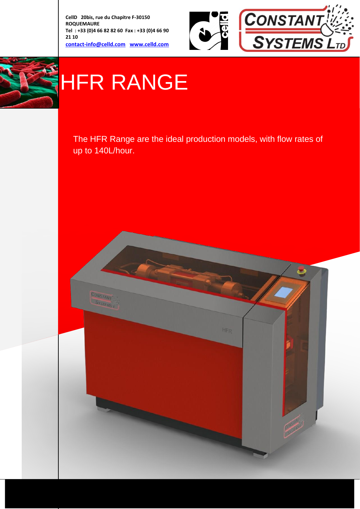**CellD 20bis, rue du Chapitre F-30150 ROQUEMAURE Tel : +33 (0)4 66 82 82 60 Fax : +33 (0)4 66 90 21 10 [contact-info@celld.com](mailto:dominique.ghozlan@celld.com) [www.celld.com](http://www.celld.com/)**





# **HFR RANGE**

The HFR Range are the ideal production models, with flow rates of up to 140L/hour.

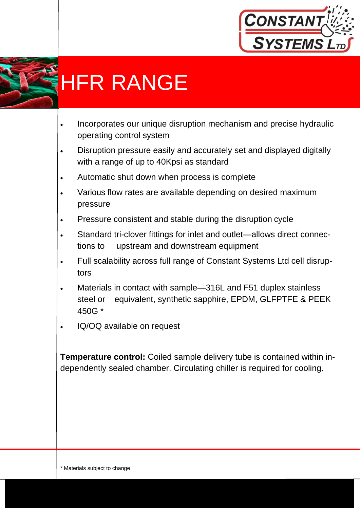



### **HFR RANGE**

- Incorporates our unique disruption mechanism and precise hydraulic operating control system
- Disruption pressure easily and accurately set and displayed digitally with a range of up to 40Kpsi as standard
- Automatic shut down when process is complete
- Various flow rates are available depending on desired maximum pressure
- Pressure consistent and stable during the disruption cycle
- Standard tri-clover fittings for inlet and outlet—allows direct connections to upstream and downstream equipment
- Full scalability across full range of Constant Systems Ltd cell disruptors
- Materials in contact with sample—316L and F51 duplex stainless steel or equivalent, synthetic sapphire, EPDM, GLFPTFE & PEEK 450G \*
- IQ/OQ available on request

**Temperature control:** Coiled sample delivery tube is contained within independently sealed chamber. Circulating chiller is required for cooling.